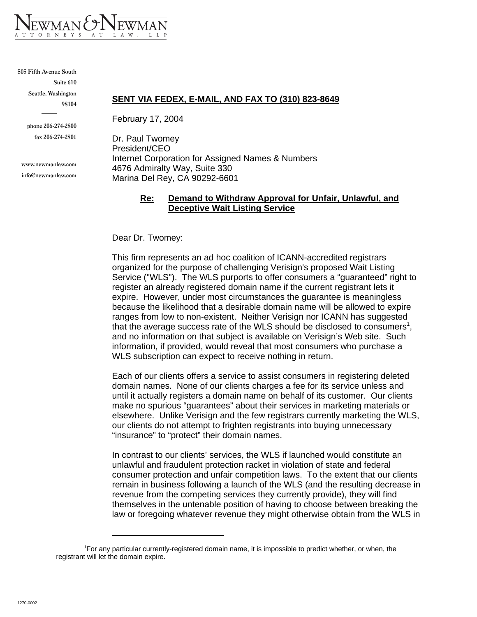

#### **505 Fifth Avenue South**

**Suite 610 Seattle, Washington 98104**

**phone 206-274-2800**

**fax 206-274-2801**

**www.newmanlaw.com info@newmanlaw.com**

#### **SENT VIA FEDEX, E-MAIL, AND FAX TO (310) 823-8649**

February 17, 2004

Dr. Paul Twomey President/CEO Internet Corporation for Assigned Names & Numbers 4676 Admiralty Way, Suite 330 Marina Del Rey, CA 90292-6601

#### **Re: Demand to Withdraw Approval for Unfair, Unlawful, and Deceptive Wait Listing Service**

Dear Dr. Twomey:

This firm represents an ad hoc coalition of ICANN-accredited registrars organized for the purpose of challenging Verisign's proposed Wait Listing Service ("WLS"). The WLS purports to offer consumers a "guaranteed" right to register an already registered domain name if the current registrant lets it expire. However, under most circumstances the guarantee is meaningless because the likelihood that a desirable domain name will be allowed to expire ranges from low to non-existent. Neither Verisign nor ICANN has suggested that the average success rate of the WLS should be disclosed to consumers<sup>1</sup>, and no information on that subject is available on Verisign's Web site. Such information, if provided, would reveal that most consumers who purchase a WLS subscription can expect to receive nothing in return.

Each of our clients offers a service to assist consumers in registering deleted domain names. None of our clients charges a fee for its service unless and until it actually registers a domain name on behalf of its customer. Our clients make no spurious "guarantees" about their services in marketing materials or elsewhere. Unlike Verisign and the few registrars currently marketing the WLS, our clients do not attempt to frighten registrants into buying unnecessary "insurance" to "protect" their domain names.

In contrast to our clients' services, the WLS if launched would constitute an unlawful and fraudulent protection racket in violation of state and federal consumer protection and unfair competition laws. To the extent that our clients remain in business following a launch of the WLS (and the resulting decrease in revenue from the competing services they currently provide), they will find themselves in the untenable position of having to choose between breaking the law or foregoing whatever revenue they might otherwise obtain from the WLS in

<sup>1</sup> For any particular currently-registered domain name, it is impossible to predict whether, or when, the registrant will let the domain expire.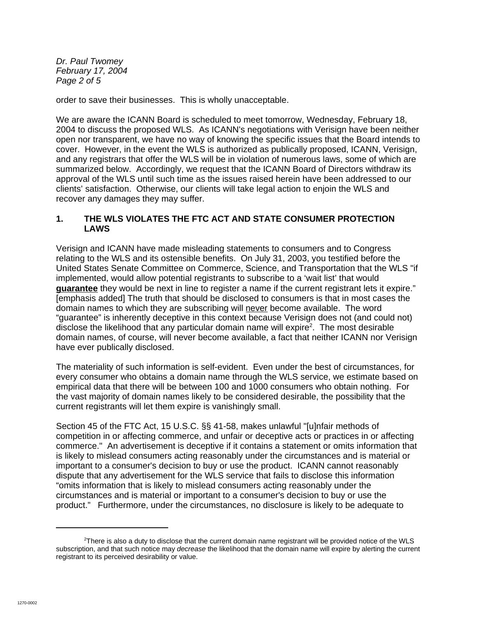*Dr. Paul Twomey February 17, 2004 Page 2 of 5*

order to save their businesses. This is wholly unacceptable.

We are aware the ICANN Board is scheduled to meet tomorrow, Wednesday, February 18, 2004 to discuss the proposed WLS. As ICANN's negotiations with Verisign have been neither open nor transparent, we have no way of knowing the specific issues that the Board intends to cover. However, in the event the WLS is authorized as publically proposed, ICANN, Verisign, and any registrars that offer the WLS will be in violation of numerous laws, some of which are summarized below. Accordingly, we request that the ICANN Board of Directors withdraw its approval of the WLS until such time as the issues raised herein have been addressed to our clients' satisfaction. Otherwise, our clients will take legal action to enjoin the WLS and recover any damages they may suffer.

### **1. THE WLS VIOLATES THE FTC ACT AND STATE CONSUMER PROTECTION LAWS**

Verisign and ICANN have made misleading statements to consumers and to Congress relating to the WLS and its ostensible benefits. On July 31, 2003, you testified before the United States Senate Committee on Commerce, Science, and Transportation that the WLS "if implemented, would allow potential registrants to subscribe to a 'wait list' that would **guarantee** they would be next in line to register a name if the current registrant lets it expire." [emphasis added] The truth that should be disclosed to consumers is that in most cases the domain names to which they are subscribing will never become available. The word "guarantee" is inherently deceptive in this context because Verisign does not (and could not) disclose the likelihood that any particular domain name will expire<sup>2</sup>. The most desirable domain names, of course, will never become available, a fact that neither ICANN nor Verisign have ever publically disclosed.

The materiality of such information is self-evident. Even under the best of circumstances, for every consumer who obtains a domain name through the WLS service, we estimate based on empirical data that there will be between 100 and 1000 consumers who obtain nothing. For the vast majority of domain names likely to be considered desirable, the possibility that the current registrants will let them expire is vanishingly small.

Section 45 of the FTC Act, 15 U.S.C. §§ 41-58, makes unlawful "[u]nfair methods of competition in or affecting commerce, and unfair or deceptive acts or practices in or affecting commerce." An advertisement is deceptive if it contains a statement or omits information that is likely to mislead consumers acting reasonably under the circumstances and is material or important to a consumer's decision to buy or use the product. ICANN cannot reasonably dispute that any advertisement for the WLS service that fails to disclose this information "omits information that is likely to mislead consumers acting reasonably under the circumstances and is material or important to a consumer's decision to buy or use the product." Furthermore, under the circumstances, no disclosure is likely to be adequate to

<sup>&</sup>lt;sup>2</sup>There is also a duty to disclose that the current domain name registrant will be provided notice of the WLS subscription, and that such notice may *decrease* the likelihood that the domain name will expire by alerting the current registrant to its perceived desirability or value.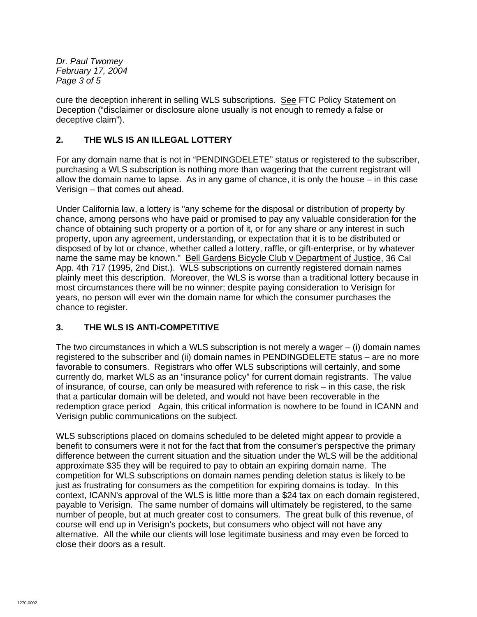*Dr. Paul Twomey February 17, 2004 Page 3 of 5*

cure the deception inherent in selling WLS subscriptions. See FTC Policy Statement on Deception ("disclaimer or disclosure alone usually is not enough to remedy a false or deceptive claim").

# **2. THE WLS IS AN ILLEGAL LOTTERY**

For any domain name that is not in "PENDINGDELETE" status or registered to the subscriber, purchasing a WLS subscription is nothing more than wagering that the current registrant will allow the domain name to lapse. As in any game of chance, it is only the house – in this case Verisign – that comes out ahead.

Under California law, a lottery is "any scheme for the disposal or distribution of property by chance, among persons who have paid or promised to pay any valuable consideration for the chance of obtaining such property or a portion of it, or for any share or any interest in such property, upon any agreement, understanding, or expectation that it is to be distributed or disposed of by lot or chance, whether called a lottery, raffle, or gift-enterprise, or by whatever name the same may be known." Bell Gardens Bicycle Club v Department of Justice, 36 Cal App. 4th 717 (1995, 2nd Dist.). WLS subscriptions on currently registered domain names plainly meet this description. Moreover, the WLS is worse than a traditional lottery because in most circumstances there will be no winner; despite paying consideration to Verisign for years, no person will ever win the domain name for which the consumer purchases the chance to register.

# **3. THE WLS IS ANTI-COMPETITIVE**

The two circumstances in which a WLS subscription is not merely a wager – (i) domain names registered to the subscriber and (ii) domain names in PENDINGDELETE status – are no more favorable to consumers. Registrars who offer WLS subscriptions will certainly, and some currently do, market WLS as an "insurance policy" for current domain registrants. The value of insurance, of course, can only be measured with reference to risk – in this case, the risk that a particular domain will be deleted, and would not have been recoverable in the redemption grace period Again, this critical information is nowhere to be found in ICANN and Verisign public communications on the subject.

WLS subscriptions placed on domains scheduled to be deleted might appear to provide a benefit to consumers were it not for the fact that from the consumer's perspective the primary difference between the current situation and the situation under the WLS will be the additional approximate \$35 they will be required to pay to obtain an expiring domain name. The competition for WLS subscriptions on domain names pending deletion status is likely to be just as frustrating for consumers as the competition for expiring domains is today. In this context, ICANN's approval of the WLS is little more than a \$24 tax on each domain registered, payable to Verisign. The same number of domains will ultimately be registered, to the same number of people, but at much greater cost to consumers. The great bulk of this revenue, of course will end up in Verisign's pockets, but consumers who object will not have any alternative. All the while our clients will lose legitimate business and may even be forced to close their doors as a result.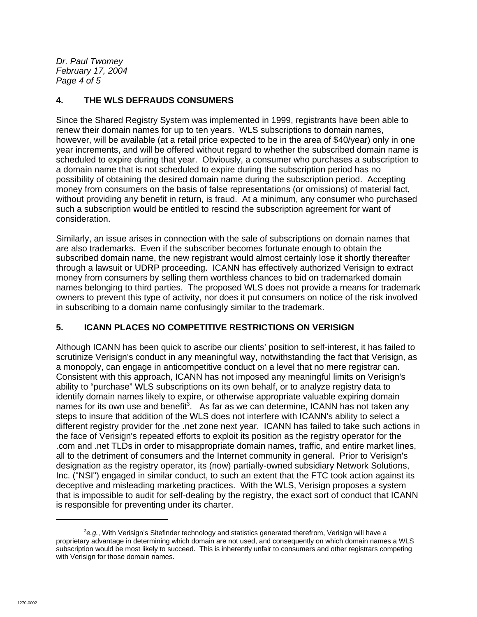*Dr. Paul Twomey February 17, 2004 Page 4 of 5*

## **4. THE WLS DEFRAUDS CONSUMERS**

Since the Shared Registry System was implemented in 1999, registrants have been able to renew their domain names for up to ten years. WLS subscriptions to domain names, however, will be available (at a retail price expected to be in the area of \$40/year) only in one year increments, and will be offered without regard to whether the subscribed domain name is scheduled to expire during that year. Obviously, a consumer who purchases a subscription to a domain name that is not scheduled to expire during the subscription period has no possibility of obtaining the desired domain name during the subscription period. Accepting money from consumers on the basis of false representations (or omissions) of material fact, without providing any benefit in return, is fraud. At a minimum, any consumer who purchased such a subscription would be entitled to rescind the subscription agreement for want of consideration.

Similarly, an issue arises in connection with the sale of subscriptions on domain names that are also trademarks. Even if the subscriber becomes fortunate enough to obtain the subscribed domain name, the new registrant would almost certainly lose it shortly thereafter through a lawsuit or UDRP proceeding. ICANN has effectively authorized Verisign to extract money from consumers by selling them worthless chances to bid on trademarked domain names belonging to third parties. The proposed WLS does not provide a means for trademark owners to prevent this type of activity, nor does it put consumers on notice of the risk involved in subscribing to a domain name confusingly similar to the trademark.

# **5. ICANN PLACES NO COMPETITIVE RESTRICTIONS ON VERISIGN**

Although ICANN has been quick to ascribe our clients' position to self-interest, it has failed to scrutinize Verisign's conduct in any meaningful way, notwithstanding the fact that Verisign, as a monopoly, can engage in anticompetitive conduct on a level that no mere registrar can. Consistent with this approach, ICANN has not imposed any meaningful limits on Verisign's ability to "purchase" WLS subscriptions on its own behalf, or to analyze registry data to identify domain names likely to expire, or otherwise appropriate valuable expiring domain names for its own use and benefit<sup>3</sup>. As far as we can determine, ICANN has not taken any steps to insure that addition of the WLS does not interfere with ICANN's ability to select a different registry provider for the .net zone next year. ICANN has failed to take such actions in the face of Verisign's repeated efforts to exploit its position as the registry operator for the .com and .net TLDs in order to misappropriate domain names, traffic, and entire market lines, all to the detriment of consumers and the Internet community in general. Prior to Verisign's designation as the registry operator, its (now) partially-owned subsidiary Network Solutions, Inc. ("NSI") engaged in similar conduct, to such an extent that the FTC took action against its deceptive and misleading marketing practices. With the WLS, Verisign proposes a system that is impossible to audit for self-dealing by the registry, the exact sort of conduct that ICANN is responsible for preventing under its charter.

<sup>3</sup> *e.g.*, With Verisign's Sitefinder technology and statistics generated therefrom, Verisign will have a proprietary advantage in determining which domain are not used, and consequently on which domain names a WLS subscription would be most likely to succeed. This is inherently unfair to consumers and other registrars competing with Verisign for those domain names.